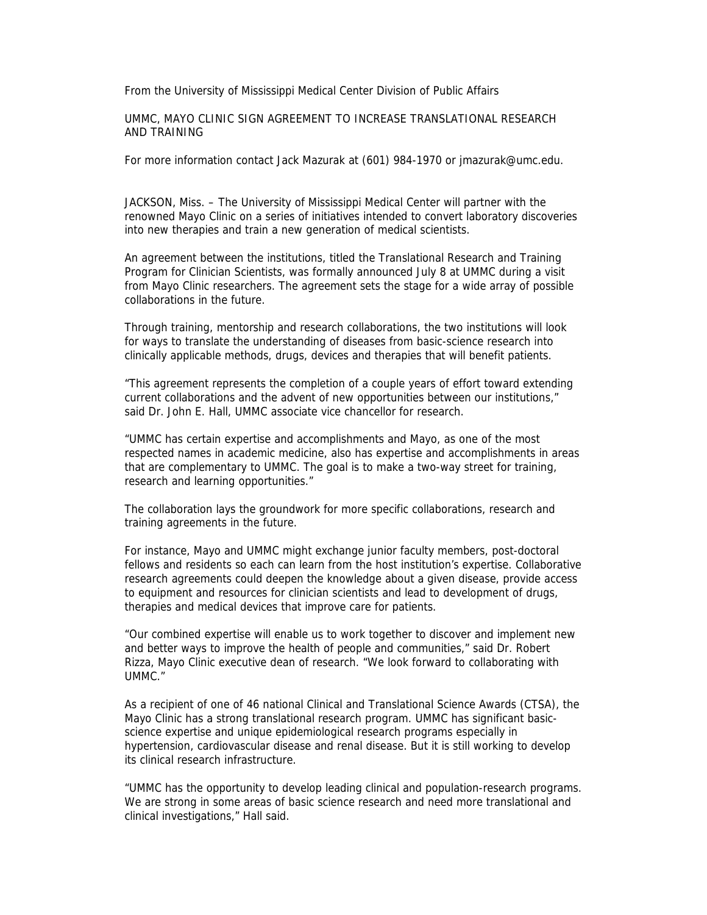From the University of Mississippi Medical Center Division of Public Affairs

UMMC, MAYO CLINIC SIGN AGREEMENT TO INCREASE TRANSLATIONAL RESEARCH AND TRAINING

For more information contact Jack Mazurak at (601) 984-1970 or jmazurak@umc.edu.

JACKSON, Miss. – The University of Mississippi Medical Center will partner with the renowned Mayo Clinic on a series of initiatives intended to convert laboratory discoveries into new therapies and train a new generation of medical scientists.

An agreement between the institutions, titled the Translational Research and Training Program for Clinician Scientists, was formally announced July 8 at UMMC during a visit from Mayo Clinic researchers. The agreement sets the stage for a wide array of possible collaborations in the future.

Through training, mentorship and research collaborations, the two institutions will look for ways to translate the understanding of diseases from basic-science research into clinically applicable methods, drugs, devices and therapies that will benefit patients.

"This agreement represents the completion of a couple years of effort toward extending current collaborations and the advent of new opportunities between our institutions," said Dr. John E. Hall, UMMC associate vice chancellor for research.

"UMMC has certain expertise and accomplishments and Mayo, as one of the most respected names in academic medicine, also has expertise and accomplishments in areas that are complementary to UMMC. The goal is to make a two-way street for training, research and learning opportunities."

The collaboration lays the groundwork for more specific collaborations, research and training agreements in the future.

For instance, Mayo and UMMC might exchange junior faculty members, post-doctoral fellows and residents so each can learn from the host institution's expertise. Collaborative research agreements could deepen the knowledge about a given disease, provide access to equipment and resources for clinician scientists and lead to development of drugs, therapies and medical devices that improve care for patients.

"Our combined expertise will enable us to work together to discover and implement new and better ways to improve the health of people and communities," said Dr. Robert Rizza, Mayo Clinic executive dean of research. "We look forward to collaborating with UMMC."

As a recipient of one of 46 national Clinical and Translational Science Awards (CTSA), the Mayo Clinic has a strong translational research program. UMMC has significant basicscience expertise and unique epidemiological research programs especially in hypertension, cardiovascular disease and renal disease. But it is still working to develop its clinical research infrastructure.

"UMMC has the opportunity to develop leading clinical and population-research programs. We are strong in some areas of basic science research and need more translational and clinical investigations," Hall said.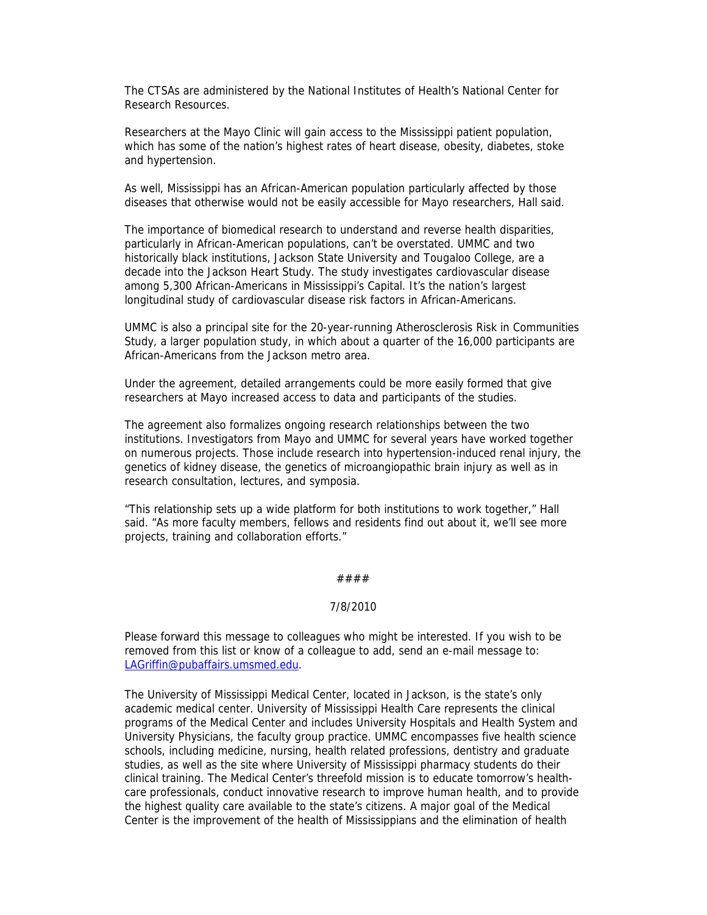The CTSAs are administered by the National Institutes of Health's National Center for Research Resources.

Researchers at the Mayo Clinic will gain access to the Mississippi patient population, which has some of the nation's highest rates of heart disease, obesity, diabetes, stoke and hypertension.

As well, Mississippi has an African-American population particularly affected by those diseases that otherwise would not be easily accessible for Mayo researchers, Hall said.

The importance of biomedical research to understand and reverse health disparities, particularly in African-American populations, can't be overstated. UMMC and two historically black institutions, Jackson State University and Tougaloo College, are a decade into the Jackson Heart Study. The study investigates cardiovascular disease among 5,300 African-Americans in Mississippi's Capital. It's the nation's largest longitudinal study of cardiovascular disease risk factors in African-Americans.

UMMC is also a principal site for the 20-year-running Atherosclerosis Risk in Communities Study, a larger population study, in which about a quarter of the 16,000 participants are African-Americans from the Jackson metro area.

Under the agreement, detailed arrangements could be more easily formed that give researchers at Mayo increased access to data and participants of the studies.

The agreement also formalizes ongoing research relationships between the two institutions. Investigators from Mayo and UMMC for several years have worked together on numerous projects. Those include research into hypertension-induced renal injury, the genetics of kidney disease, the genetics of microangiopathic brain injury as well as in research consultation, lectures, and symposia.

"This relationship sets up a wide platform for both institutions to work together," Hall said. "As more faculty members, fellows and residents find out about it, we'll see more projects, training and collaboration efforts."

## ####

## 7/8/2010

Please forward this message to colleagues who might be interested. If you wish to be removed from this list or know of a colleague to add, send an e-mail message to: LAGriffin@pubaffairs.umsmed.edu.

The University of Mississippi Medical Center, located in Jackson, is the state's only academic medical center. University of Mississippi Health Care represents the clinical programs of the Medical Center and includes University Hospitals and Health System and University Physicians, the faculty group practice. UMMC encompasses five health science schools, including medicine, nursing, health related professions, dentistry and graduate studies, as well as the site where University of Mississippi pharmacy students do their clinical training. The Medical Center's threefold mission is to educate tomorrow's healthcare professionals, conduct innovative research to improve human health, and to provide the highest quality care available to the state's citizens. A major goal of the Medical Center is the improvement of the health of Mississippians and the elimination of health